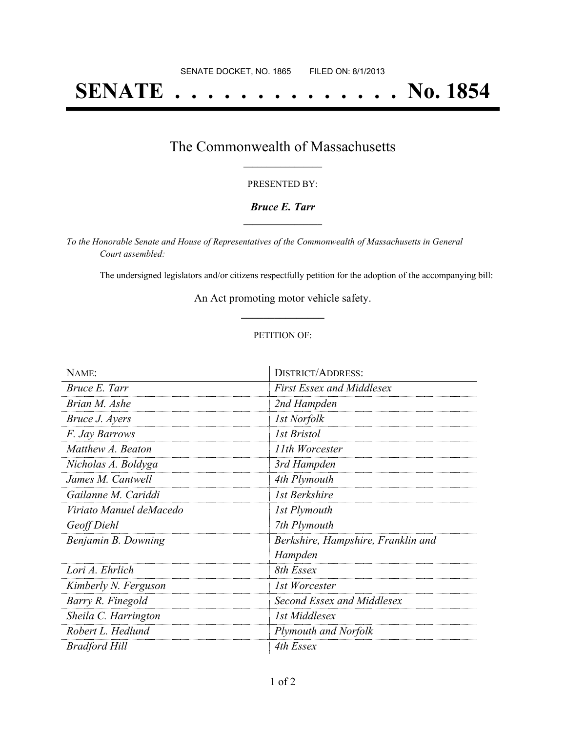# **SENATE . . . . . . . . . . . . . . No. 1854**

## The Commonwealth of Massachusetts **\_\_\_\_\_\_\_\_\_\_\_\_\_\_\_\_\_**

#### PRESENTED BY:

#### *Bruce E. Tarr* **\_\_\_\_\_\_\_\_\_\_\_\_\_\_\_\_\_**

*To the Honorable Senate and House of Representatives of the Commonwealth of Massachusetts in General Court assembled:*

The undersigned legislators and/or citizens respectfully petition for the adoption of the accompanying bill:

An Act promoting motor vehicle safety. **\_\_\_\_\_\_\_\_\_\_\_\_\_\_\_**

#### PETITION OF:

| NAME:                   | <b>DISTRICT/ADDRESS:</b>           |
|-------------------------|------------------------------------|
| Bruce E. Tarr           | <b>First Essex and Middlesex</b>   |
| Brian M. Ashe           | 2nd Hampden                        |
| Bruce J. Ayers          | 1st Norfolk                        |
| F. Jay Barrows          | 1st Bristol                        |
| Matthew A. Beaton       | 11th Worcester                     |
| Nicholas A. Boldyga     | 3rd Hampden                        |
| James M. Cantwell       | 4th Plymouth                       |
| Gailanne M. Cariddi     | 1st Berkshire                      |
| Viriato Manuel deMacedo | 1st Plymouth                       |
| Geoff Diehl             | 7th Plymouth                       |
| Benjamin B. Downing     | Berkshire, Hampshire, Franklin and |
|                         | Hampden                            |
| Lori A. Ehrlich         | 8th Essex                          |
| Kimberly N. Ferguson    | 1st Worcester                      |
| Barry R. Finegold       | Second Essex and Middlesex         |
| Sheila C. Harrington    | 1st Middlesex                      |
| Robert L. Hedlund       | <b>Plymouth and Norfolk</b>        |
| Bradford Hill           | 4th Essex                          |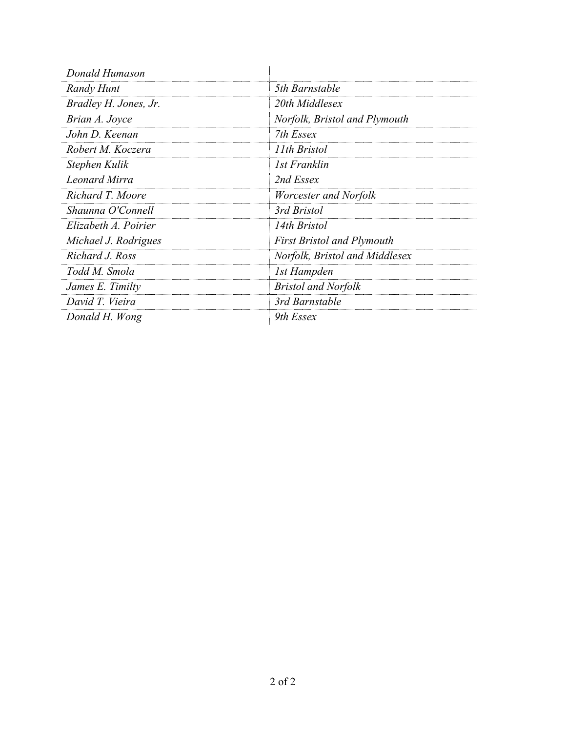| Donald Humason        |                                   |
|-----------------------|-----------------------------------|
| Randy Hunt            | 5th Barnstable                    |
| Bradley H. Jones, Jr. | 20th Middlesex                    |
| Brian A. Joyce        | Norfolk, Bristol and Plymouth     |
| John D. Keenan        | 7th Essex                         |
| Robert M. Koczera     | 11th Bristol                      |
| Stephen Kulik         | 1st Franklin                      |
| Leonard Mirra         | 2nd Essex                         |
| Richard T. Moore      | Worcester and Norfolk             |
| Shaunna O'Connell     | 3rd Bristol                       |
| Elizabeth A. Poirier  | 14th Bristol                      |
| Michael J. Rodrigues  | <b>First Bristol and Plymouth</b> |
| Richard J. Ross       | Norfolk, Bristol and Middlesex    |
| Todd M. Smola         | 1st Hampden                       |
| James E. Timilty      | <b>Bristol and Norfolk</b>        |
| David T. Vieira       | 3rd Barnstable                    |
| Donald H. Wong        | 9th Essex                         |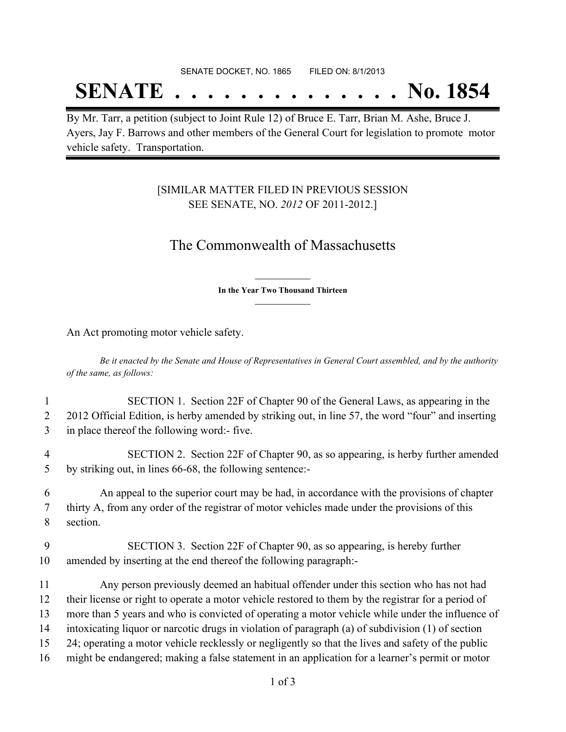#### SENATE DOCKET, NO. 1865 FILED ON: 8/1/2013

## **SENATE . . . . . . . . . . . . . . No. 1854**

By Mr. Tarr, a petition (subject to Joint Rule 12) of Bruce E. Tarr, Brian M. Ashe, Bruce J. Ayers, Jay F. Barrows and other members of the General Court for legislation to promote motor vehicle safety. Transportation.

### [SIMILAR MATTER FILED IN PREVIOUS SESSION SEE SENATE, NO. *2012* OF 2011-2012.]

## The Commonwealth of Massachusetts

**\_\_\_\_\_\_\_\_\_\_\_\_\_\_\_ In the Year Two Thousand Thirteen \_\_\_\_\_\_\_\_\_\_\_\_\_\_\_**

An Act promoting motor vehicle safety.

Be it enacted by the Senate and House of Representatives in General Court assembled, and by the authority *of the same, as follows:*

- 1 SECTION 1. Section 22F of Chapter 90 of the General Laws, as appearing in the 2 2012 Official Edition, is herby amended by striking out, in line 57, the word "four" and inserting 3 in place thereof the following word:- five.
- 4 SECTION 2. Section 22F of Chapter 90, as so appearing, is herby further amended 5 by striking out, in lines 66-68, the following sentence:-

6 An appeal to the superior court may be had, in accordance with the provisions of chapter 7 thirty A, from any order of the registrar of motor vehicles made under the provisions of this 8 section.

9 SECTION 3. Section 22F of Chapter 90, as so appearing, is hereby further 10 amended by inserting at the end thereof the following paragraph:-

 Any person previously deemed an habitual offender under this section who has not had their license or right to operate a motor vehicle restored to them by the registrar for a period of more than 5 years and who is convicted of operating a motor vehicle while under the influence of intoxicating liquor or narcotic drugs in violation of paragraph (a) of subdivision (1) of section 24; operating a motor vehicle recklessly or negligently so that the lives and safety of the public might be endangered; making a false statement in an application for a learner's permit or motor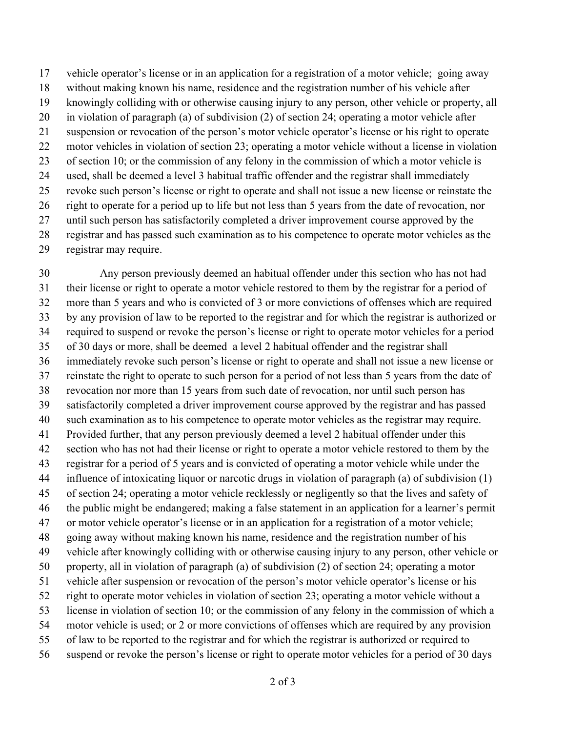vehicle operator's license or in an application for a registration of a motor vehicle; going away

- without making known his name, residence and the registration number of his vehicle after
- knowingly colliding with or otherwise causing injury to any person, other vehicle or property, all
- in violation of paragraph (a) of subdivision (2) of section 24; operating a motor vehicle after
- suspension or revocation of the person's motor vehicle operator's license or his right to operate
- motor vehicles in violation of section 23; operating a motor vehicle without a license in violation of section 10; or the commission of any felony in the commission of which a motor vehicle is
- used, shall be deemed a level 3 habitual traffic offender and the registrar shall immediately
- revoke such person's license or right to operate and shall not issue a new license or reinstate the
- right to operate for a period up to life but not less than 5 years from the date of revocation, nor
- 27 until such person has satisfactorily completed a driver improvement course approved by the
- registrar and has passed such examination as to his competence to operate motor vehicles as the
- registrar may require.

 Any person previously deemed an habitual offender under this section who has not had their license or right to operate a motor vehicle restored to them by the registrar for a period of more than 5 years and who is convicted of 3 or more convictions of offenses which are required by any provision of law to be reported to the registrar and for which the registrar is authorized or required to suspend or revoke the person's license or right to operate motor vehicles for a period of 30 days or more, shall be deemed a level 2 habitual offender and the registrar shall immediately revoke such person's license or right to operate and shall not issue a new license or reinstate the right to operate to such person for a period of not less than 5 years from the date of revocation nor more than 15 years from such date of revocation, nor until such person has satisfactorily completed a driver improvement course approved by the registrar and has passed such examination as to his competence to operate motor vehicles as the registrar may require. Provided further, that any person previously deemed a level 2 habitual offender under this section who has not had their license or right to operate a motor vehicle restored to them by the registrar for a period of 5 years and is convicted of operating a motor vehicle while under the influence of intoxicating liquor or narcotic drugs in violation of paragraph (a) of subdivision (1) of section 24; operating a motor vehicle recklessly or negligently so that the lives and safety of the public might be endangered; making a false statement in an application for a learner's permit or motor vehicle operator's license or in an application for a registration of a motor vehicle; going away without making known his name, residence and the registration number of his vehicle after knowingly colliding with or otherwise causing injury to any person, other vehicle or property, all in violation of paragraph (a) of subdivision (2) of section 24; operating a motor vehicle after suspension or revocation of the person's motor vehicle operator's license or his right to operate motor vehicles in violation of section 23; operating a motor vehicle without a license in violation of section 10; or the commission of any felony in the commission of which a motor vehicle is used; or 2 or more convictions of offenses which are required by any provision of law to be reported to the registrar and for which the registrar is authorized or required to suspend or revoke the person's license or right to operate motor vehicles for a period of 30 days